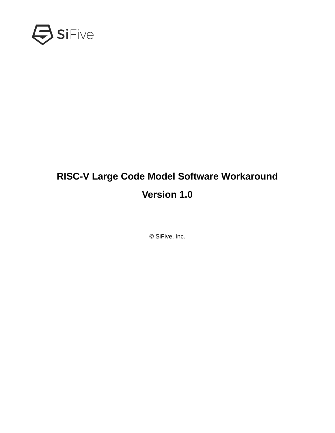

# **RISC-V Large Code Model Software Workaround Version 1.0**

© SiFive, Inc.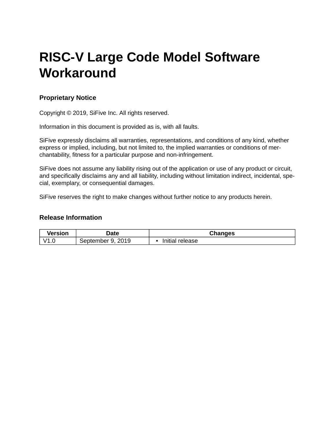# **RISC-V Large Code Model Software Workaround**

### **Proprietary Notice**

Copyright © 2019, SiFive Inc. All rights reserved.

Information in this document is provided as is, with all faults.

SiFive expressly disclaims all warranties, representations, and conditions of any kind, whether express or implied, including, but not limited to, the implied warranties or conditions of merchantability, fitness for a particular purpose and non-infringement.

SiFive does not assume any liability rising out of the application or use of any product or circuit, and specifically disclaims any and all liability, including without limitation indirect, incidental, special, exemplary, or consequential damages.

SiFive reserves the right to make changes without further notice to any products herein.

### **Release Information**

| <b>Version</b> | <b>Date</b>                   | <b>Changes</b>            |
|----------------|-------------------------------|---------------------------|
| V1.L           | 2019<br>Q<br>September<br>. ب | nitial release<br>Initial |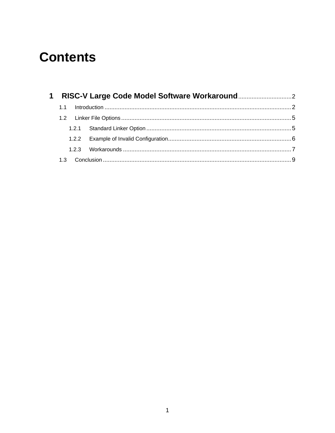# **Contents**

| 1.1 |  |
|-----|--|
|     |  |
|     |  |
|     |  |
|     |  |
|     |  |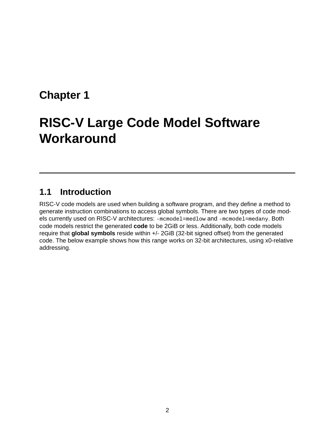# <span id="page-3-0"></span>**[Chapter 1](#page-3-0)**

# **[RISC-V Large Code Model Software](#page-3-0) Workaround**

# <span id="page-3-1"></span>**[1.1 Introduction](#page-3-1)**

RISC-V code models are used when building a software program, and they define a method to generate instruction combinations to access global symbols. There are two types of code models currently used on RISC-V architectures: -mcmodel=medlow and -mcmodel=medany. Both code models restrict the generated **code** to be 2GiB or less. Additionally, both code models require that **global symbols** reside within +/- 2GiB (32-bit signed offset) from the generated code. The below example shows how this range works on 32-bit architectures, using x0-relative addressing.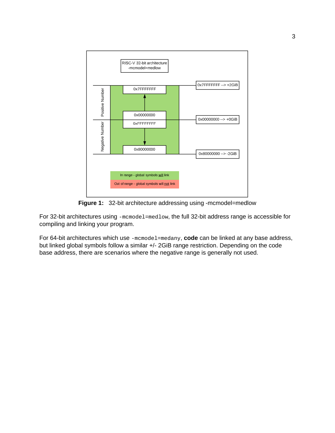

**Figure 1:** 32-bit architecture addressing using -mcmodel=medlow

For 32-bit architectures using -mcmodel=medlow, the full 32-bit address range is accessible for compiling and linking your program.

For 64-bit architectures which use -mcmodel=medany, **code** can be linked at any base address, but linked global symbols follow a similar +/- 2GiB range restriction. Depending on the code base address, there are scenarios where the negative range is generally not used.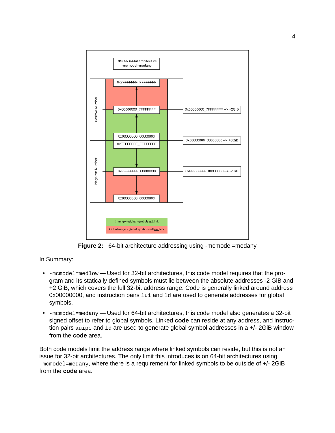

**Figure 2:** 64-bit architecture addressing using -mcmodel=medany

In Summary:

- -mcmodel=medlow Used for 32-bit architectures, this code model requires that the program and its statically defined symbols must lie between the absolute addresses -2 GiB and +2 GiB, which covers the full 32-bit address range. Code is generally linked around address 0x00000000, and instruction pairs lui and ld are used to generate addresses for global symbols.
- -mcmodel=medany Used for 64-bit architectures, this code model also generates a 32-bit signed offset to refer to global symbols. Linked **code** can reside at any address, and instruction pairs auipc and ld are used to generate global symbol addresses in a +/- 2GiB window from the **code** area.

Both code models limit the address range where linked symbols can reside, but this is not an issue for 32-bit architectures. The only limit this introduces is on 64-bit architectures using -mcmodel=medany, where there is a requirement for linked symbols to be outside of +/- 2GiB from the **code** area.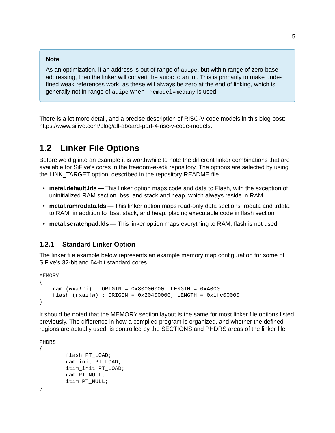#### **Note**

As an optimization, if an address is out of range of auipc, but within range of zero-base addressing, then the linker will convert the auipc to an lui. This is primarily to make undefined weak references work, as these will always be zero at the end of linking, which is generally not in range of auipc when -mcmodel=medany is used.

There is a lot more detail, and a precise description of RISC-V code models in this blog post: [https://www.sifive.com/blog/all-aboard-part-4-risc-v-code-models.](https://www.sifive.com/blog/all-aboard-part-4-risc-v-code-models)

# <span id="page-6-0"></span>**[1.2 Linker File Options](#page-6-0)**

Before we dig into an example it is worthwhile to note the different linker combinations that are available for SiFive's cores in the [freedom-e-sdk](https://github.com/sifive/freedom-e-sdk) repository. The options are selected by using the LINK\_TARGET option, described in the repository [README](https://github.com/sifive/freedom-e-sdk#sifive-freedom-e-sdk-readme) file.

- **metal.default.lds** This linker option maps code and data to Flash, with the exception of uninitialized RAM section .bss, and stack and heap, which always reside in RAM
- **metal.ramrodata.lds** This linker option maps read-only data sections .rodata and .rdata to RAM, in addition to .bss, stack, and heap, placing executable code in flash section
- **metal.scratchpad.lds** This linker option maps everything to RAM, flash is not used

### <span id="page-6-1"></span>**[1.2.1 Standard Linker Option](#page-6-1)**

The linker file example below represents an example memory map configuration for some of SiFive's 32-bit and 64-bit standard cores.

**MEMORY** { ram (wxa!ri) : ORIGIN = 0x80000000, LENGTH = 0x4000  $f$ lash (rxai!w) : ORIGIN = 0x20400000, LENGTH = 0x1fc00000 }

It should be noted that the MEMORY section layout is the same for most linker file options listed previously. The difference in how a compiled program is organized, and whether the defined regions are actually used, is controlled by the SECTIONS and PHDRS areas of the linker file.

PHDRS

{

}

```
flash PT_LOAD;
ram_init PT_LOAD;
itim_init PT_LOAD;
ram PT_NULL;
itim PT_NULL;
```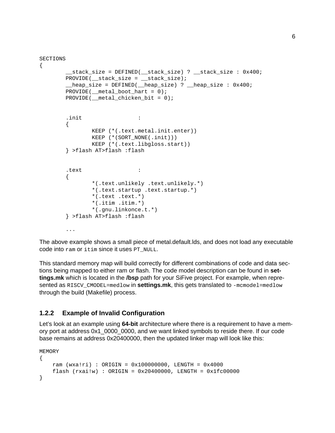```
SECTIONS
```

```
{
        __stack_size = DEFINED(__stack_size) ? __stack_size : 0x400;
        PROVIDE(__stack_size = __stack_size);
         __heap_size = DEFINED(__heap_size) ? __heap_size : 0x400;
        PROVIDE(\text{__metal}\_\text{boot}\_\text{hart} = 0);PROVIDE(\text{__metal__chicken__bit = 0)};.init :
        {
                KEEP (*(.text.metal.init.enter))
                KEEP (*(SORT_NONE(.init)))
                KEEP (*(.text.libgloss.start))
        } >flash AT>flash :flash
        .text :
        {
                *(.text.unlikely .text.unlikely.*)
                *(.text.startup .text.startup.*)
                *(.text + text +*)*(.itim .itim.*)
                *(.gnu.linkonce.t.*)
        } >flash AT>flash :flash
        ...
```
The above example shows a small piece of metal.default.lds, and does not load any executable code into ram or itim since it uses PT\_NULL.

This standard memory map will build correctly for different combinations of code and data sections being mapped to either ram or flash. The code model description can be found in **settings.mk** which is located in the **/bsp** path for your SiFive project. For example, when represented as RISCV\_CMODEL=medlow in **settings.mk**, this gets translated to -mcmodel=medlow through the build (Makefile) process.

## <span id="page-7-0"></span>**[1.2.2 Example of Invalid Configuration](#page-7-0)**

Let's look at an example using **64-bit** architecture where there is a requirement to have a memory port at address 0x1\_0000\_0000, and we want linked symbols to reside there. If our code base remains at address 0x20400000, then the updated linker map will look like this:

MEMORY

```
{
    ram (wxa!ri) : ORIGIN = 0x100000000, LENGTH = 0x4000
    flash (rxai!w) : ORIGIN = 0x20400000, LENGTH = 0x1fc00000
}
```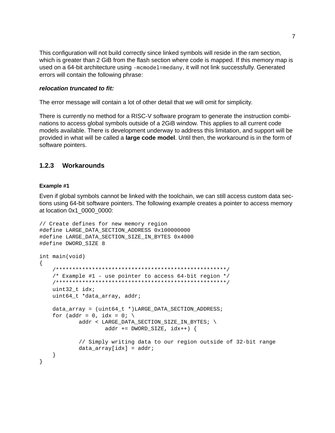This configuration will not build correctly since linked symbols will reside in the ram section, which is greater than 2 GiB from the flash section where code is mapped. If this memory map is used on a 64-bit architecture using -mcmodel=medany, it will not link successfully. Generated errors will contain the following phrase:

### relocation truncated to fit:

The error message will contain a lot of other detail that we will omit for simplicity.

There is currently no method for a RISC-V software program to generate the instruction combinations to access global symbols outside of a 2GiB window. This applies to all current code models available. There is development underway to address this limitation, and support will be provided in what will be called a **large code model**. Until then, the workaround is in the form of software pointers.

#### <span id="page-8-0"></span> $1.2.3$ Workarounds

#### <span id="page-8-1"></span>Example #1

Even if global symbols cannot be linked with the toolchain, we can still access custom data sections using 64-bit software pointers. The following example creates a pointer to access memory at location 0x1 0000 0000:

```
// Create defines for new memory region
#define LARGE_DATA_SECTION_ADDRESS 0x100000000
#define LARGE_DATA_SECTION_SIZE_IN_BYTES 0x4000
#define DWORD_SIZE 8
int main(void)
€
   /* Example #1 - use pointer to access 64-bit region */
   uint32_t idx;
   uint64_t *data_array, addr;data_array = (uint64_t *)LARGE_DATA_SECTION_ADDRESS;
   for (addr = 0, idx = 0; \
          addr < LARGE_DATA_SECTION_SIZE_IN_BYTES; \
                 addr += DWORD_SIZE, idx++) {
          // Simply writing data to our region outside of 32-bit range
          data_{array}[idx] = addr;
   }
\mathcal{E}
```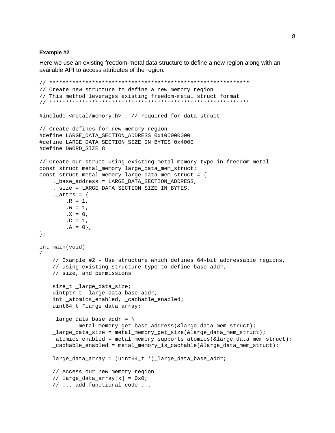#### <span id="page-9-0"></span>Example #2

Here we use an existing freedom-metal data structure to define a new region along with an available API to access attributes of the region.

```
// Create new structure to define a new memory region
// This method leverages existing freedom-metal struct format
#include <metal/memory.h> // required for data struct
// Create defines for new memory region
#define LARGE_DATA_SECTION_ADDRESS 0x100000000
#define LARGE_DATA_SECTION_SIZE_IN_BYTES 0x4000
#define DWORD_SIZE 8
// Create our struct using existing metal_memory type in freedom-metal
const struct metal_memory large_data_mem_struct;
const struct metal_memory large_data_mem_struct = {
   ._base_address = LARGE_DATA_SECTION_ADDRESS,
   ._size = LARGE_DATA_SECTION_SIZE_IN_BYTES,
   2 - 1 = \{.R = 1,.W = 1,.X = 0,.C = 1,.A = 0,
\};
int main(void)
₹
   // Example #2 - Use structure which defines 64-bit addressable regions,
   // using existing structure type to define base addr,
   // size, and permissions
   size_t _large_data_size;
   uintptr_t _large_data_base_addr;
   int _atomics_enabled, _cachable_enabled;
   uint64_t *large_data_array;
   \lceil \text{large\_data\_base\_addr} \rceilmetal_memory_get_base_address(&large_data_mem_struct);
   _large_data_size = metal_memory_get_size(&large_data_mem_struct);
   _atomics_enabled = metal_memory_supports_atomics(&large_data_mem_struct);
   _cachable_enabled = metal_memory_is_cachable(&large_data_mem_struct);
   large\_data\_array = (uint64_t * )_large\_data_base\_addr;// Access our new memory region
   // large\_data\_array[x] = 0x0;// ... add functional code ...
```